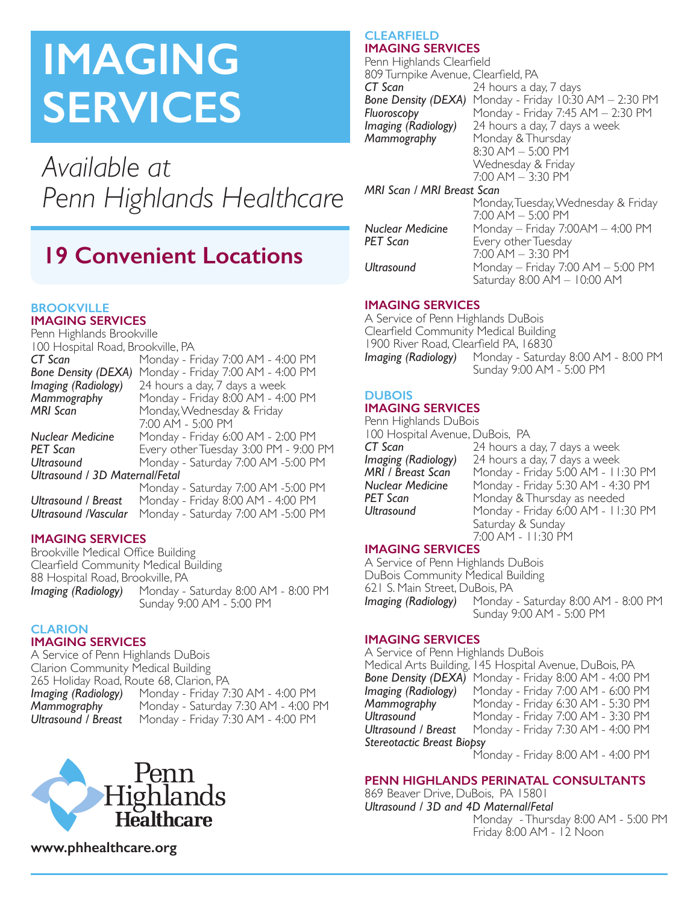# **IMAGING SERVICES**

*Available at Penn Highlands Healthcare*

# **19 Convenient Locations**

#### **BROOKVILLE IMAGING SERVICES**

Penn Highlands Brookville 100 Hospital Road, Brookville, PA<br>**CT Scan** Monday - F *CT Scan* Monday - Friday 7:00 AM - 4:00 PM *Bone Density (DEXA)* Monday - Friday 7:00 AM - 4:00 PM *Imaging (Radiology)* 24 hours a day, 7 days a week **Mammography** Monday - Friday 8:00 AM - 4:00 PM<br>**MRI Scan** Monday Wednesday & Friday Monday, Wednesday & Friday 7:00 AM - 5:00 PM *Nuclear Medicine* Monday - Friday 6:00 AM - 2:00 PM *PET Scan* Every other Tuesday 3:00 PM - 9:00 PM *Ultrasound* Monday - Saturday 7:00 AM -5:00 PM *Ultrasound / 3D Maternal/Fetal* Monday - Saturday 7:00 AM -5:00 PM *Ultrasound / Breast* Monday - Friday 8:00 AM - 4:00 PM *Ultrasound /Vascular* Monday - Saturday 7:00 AM -5:00 PM

# **IMAGING SERVICES**

Brookville Medical Office Building Clearfield Community Medical Building 88 Hospital Road, Brookville, PA<br>**Imaging (Radiology)** Monday -*Imaging (Radiology)* Monday - Saturday 8:00 AM - 8:00 PM Sunday 9:00 AM - 5:00 PM

#### **CLARION IMAGING SERVICES**

A Service of Penn Highlands DuBois Clarion Community Medical Building 265 Holiday Road, Route 68, Clarion, PA<br>**Imaging (Radiology)** Monday - Friday 7: **Imaging (Radiology)** Monday - Friday 7:30 AM - 4:00 PM<br>**Mammography** Monday - Saturday 7:30 AM - 4:00 P **Mammography** Monday - Saturday 7:30 AM - 4:00 PM<br>**Ultrasound / Breast** Monday - Friday 7:30 AM - 4:00 PM *Ultrasound / Breast* Monday - Friday 7:30 AM - 4:00 PM



#### **CLEARFIELD IMAGING SERVICES**

Penn Highlands Clearfield 809 Turnpike Avenue, Clearfield, PA<br>**CT Scan** 24 hours a da *CT Scan* 24 hours a day, 7 days **Bone Density (DEXA)** Monday - Friday 10:30 AM – 2:30 PM<br>*Fluoroscopy* Monday - Friday 7:45 AM – 2:30 PM **Fluoroscopy**<br>**Imaging (Radiology)** 24 hours a day, 7 days a week **Imaging (Radiology)** 24 hours a day, 7 days a week<br>**Mammography** Monday & Thursday Monday & Thursday  $8:30$  AM  $-5:00$  PM Wednesday & Friday 7:00 AM – 3:30 PM

## *MRI Scan / MRI Breast Scan*

Monday, Tuesday, Wednesday & Friday  $7:00$  AM  $-$  5:00 PM *Nuclear Medicine* Monday – Friday 7:00AM – 4:00 PM *Petery* other Tuesday 7:00 AM – 3:30 PM *Ultrasound* Monday – Friday 7:00 AM – 5:00 PM Saturday 8:00 AM – 10:00 AM

# **IMAGING SERVICES**

A Service of Penn Highlands DuBois Clearfield Community Medical Building 1900 River Road, Clearfield PA, 16830<br>Imaging (Radiology) Monday - Saturd *Imaging (Radiology)* Monday - Saturday 8:00 AM - 8:00 PM Sunday 9:00 AM - 5:00 PM

#### **DUBOIS IMAGING SERVICES**

Penn Highlands DuBois 100 Hospital Avenue, DuBois, PA<br>**CT Scan** 24 hours a **CT Scan** 24 hours a day, 7 days a week<br>**Imaging (Radiology)** 24 hours a day, 7 days a week *Imaging (Radiology)* 24 hours a day, 7 days a week **MRI / Breast Scan** Monday - Friday 5:00 AM - 11:30 PM<br>**Nuclear Medicine** Monday - Friday 5:30 AM - 4:30 PM **Nuclear Medicine** Monday - Friday 5:30 AM - 4:30 PM<br>**PET Scan** Monday & Thursday as needed **PET Scan** Monday & Thursday as needed<br>**Ultrasound** Monday - Friday 6:00 AM - 11: *Ultrasound* Monday - Friday 6:00 AM - 11:30 PM Saturday & Sunday 7:00 AM - 11:30 PM

# **IMAGING SERVICES**

A Service of Penn Highlands DuBois DuBois Community Medical Building 621 S. Main Street, DuBois, PA<br>**Imaging (Radiology)** Monday *Imaging (Radiology)* Monday - Saturday 8:00 AM - 8:00 PM Sunday 9:00 AM - 5:00 PM

# **IMAGING SERVICES**

A Service of Penn Highlands DuBois Medical Arts Building, 145 Hospital Avenue, DuBois, PA **Bone Density (DEXA)** Monday - Friday 8:00 AM - 4:00 PM<br>**Imaging (Radiology)** Monday - Friday 7:00 AM - 6:00 PM *Imaging (Radiology)* Monday - Friday 7:00 AM - 6:00 PM<br>**Mammography** Monday - Friday 6:30 AM - 5:30 PM **Mammography Wanday - Friday 6:30 AM - 5:30 PM<br><b>Ultrasound** Monday - Friday 7:00 AM - 3:30 PM **Ultrasound** Monday - Friday 7:00 AM - 3:30 PM<br> **Ultrasound / Breast** Monday - Friday 7:30 AM - 4:00 PM *Ultrasound / Breast* Monday - Friday 7:30 AM - 4:00 PM *Stereotactic Breast Biopsy*  Monday - Friday 8:00 AM - 4:00 PM

# **PENN HIGHLANDS PERINATAL CONSULTANTS**

869 Beaver Drive, DuBois, PA 15801 *Ultrasound / 3D and 4D Maternal/Fetal* Monday - Thursday 8:00 AM - 5:00 PM Friday 8:00 AM - 12 Noon

**www.phhealthcare.org**